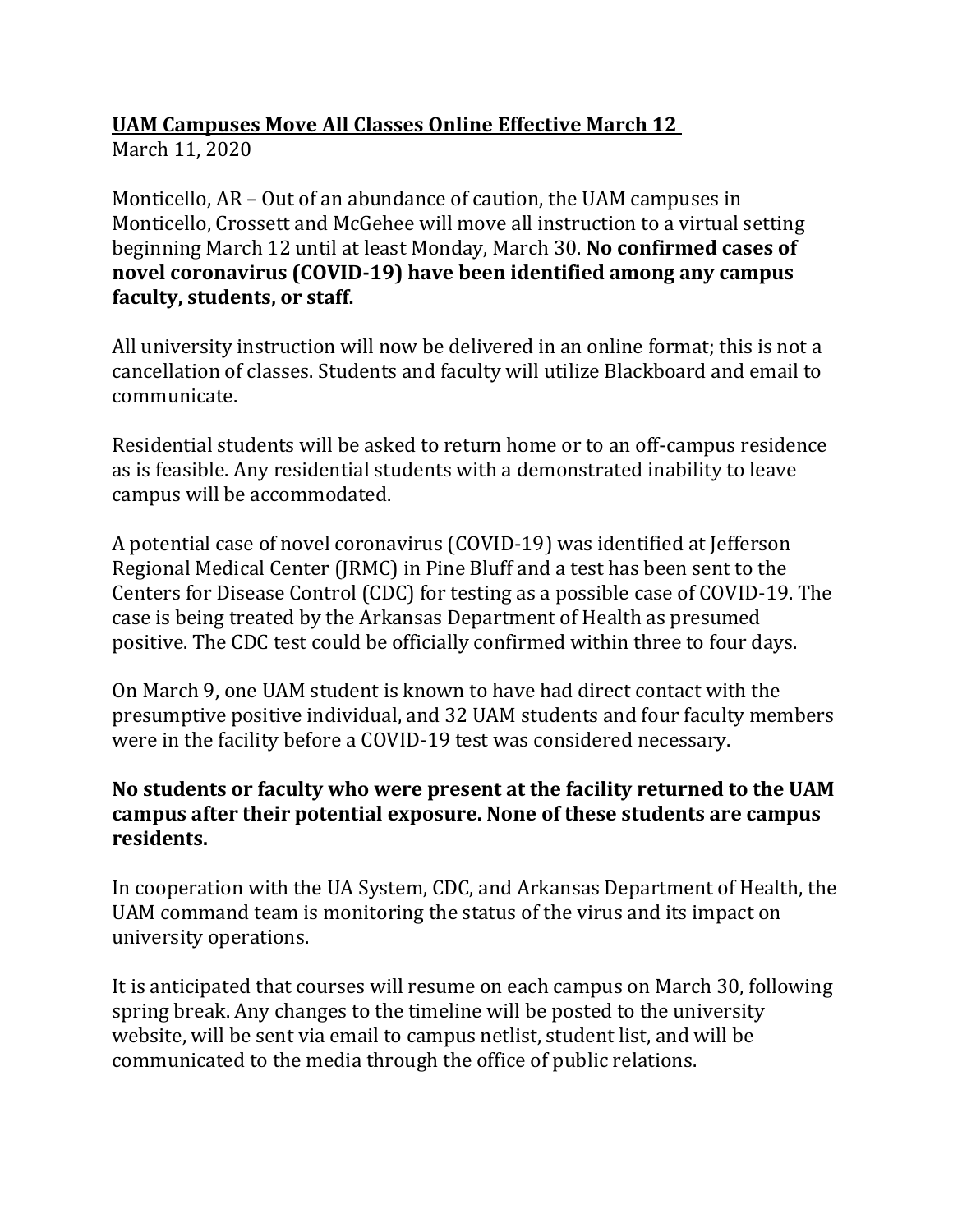## **UAM Campuses Move All Classes Online Effective March 12**

March 11, 2020

Monticello, AR – Out of an abundance of caution, the UAM campuses in Monticello, Crossett and McGehee will move all instruction to a virtual setting beginning March 12 until at least Monday, March 30. **No confirmed cases of novel coronavirus (COVID-19) have been identified among any campus faculty, students, or staff.**

All university instruction will now be delivered in an online format; this is not a cancellation of classes. Students and faculty will utilize Blackboard and email to communicate.

Residential students will be asked to return home or to an off-campus residence as is feasible. Any residential students with a demonstrated inability to leave campus will be accommodated.

A potential case of novel coronavirus (COVID-19) was identified at Jefferson Regional Medical Center (JRMC) in Pine Bluff and a test has been sent to the Centers for Disease Control (CDC) for testing as a possible case of COVID-19. The case is being treated by the Arkansas Department of Health as presumed positive. The CDC test could be officially confirmed within three to four days.

On March 9, one UAM student is known to have had direct contact with the presumptive positive individual, and 32 UAM students and four faculty members were in the facility before a COVID-19 test was considered necessary.

## **No students or faculty who were present at the facility returned to the UAM campus after their potential exposure. None of these students are campus residents.**

In cooperation with the UA System, CDC, and Arkansas Department of Health, the UAM command team is monitoring the status of the virus and its impact on university operations.

It is anticipated that courses will resume on each campus on March 30, following spring break. Any changes to the timeline will be posted to the university website, will be sent via email to campus netlist, student list, and will be communicated to the media through the office of public relations.